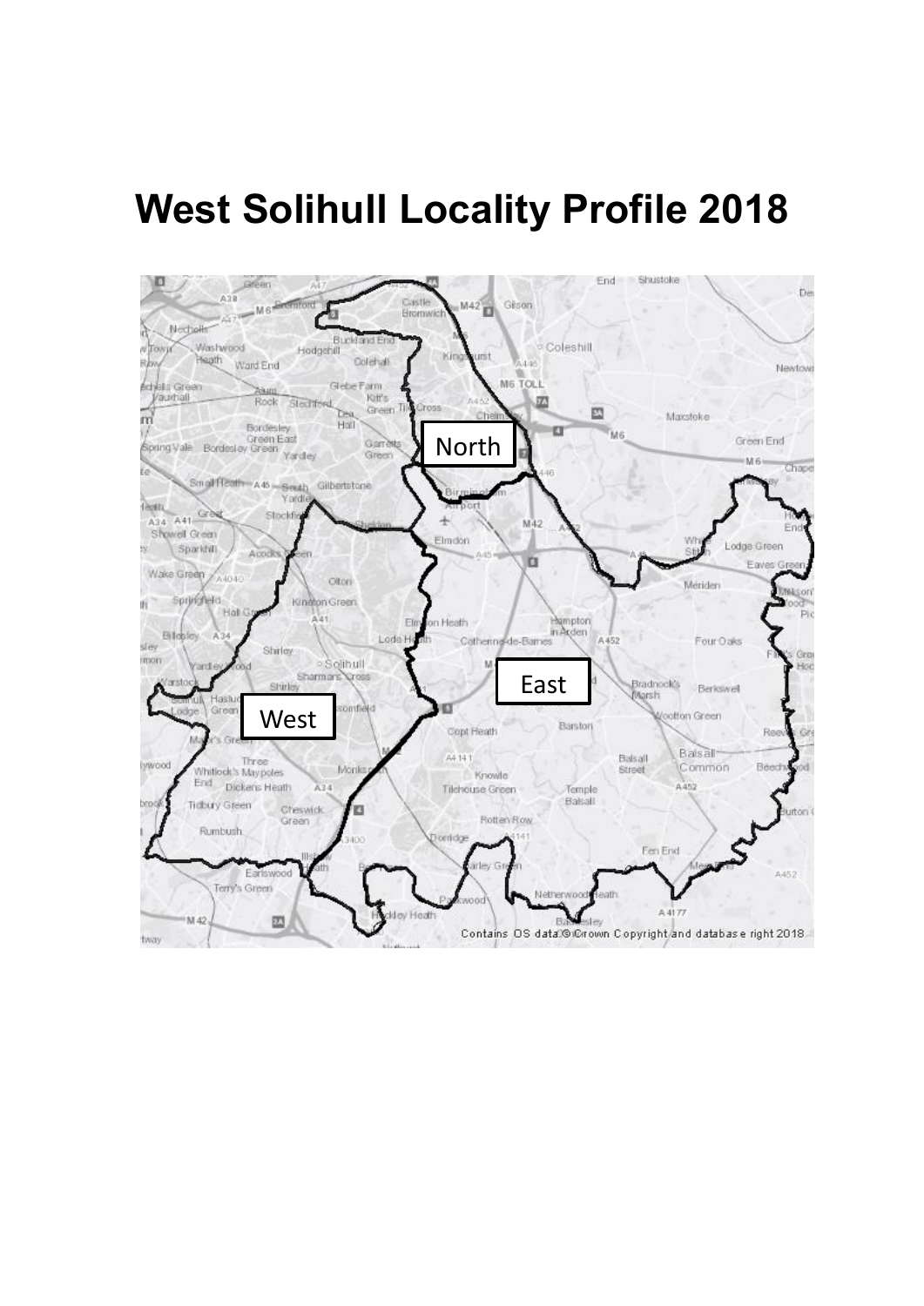# **West Solihull Locality Profile 2018**

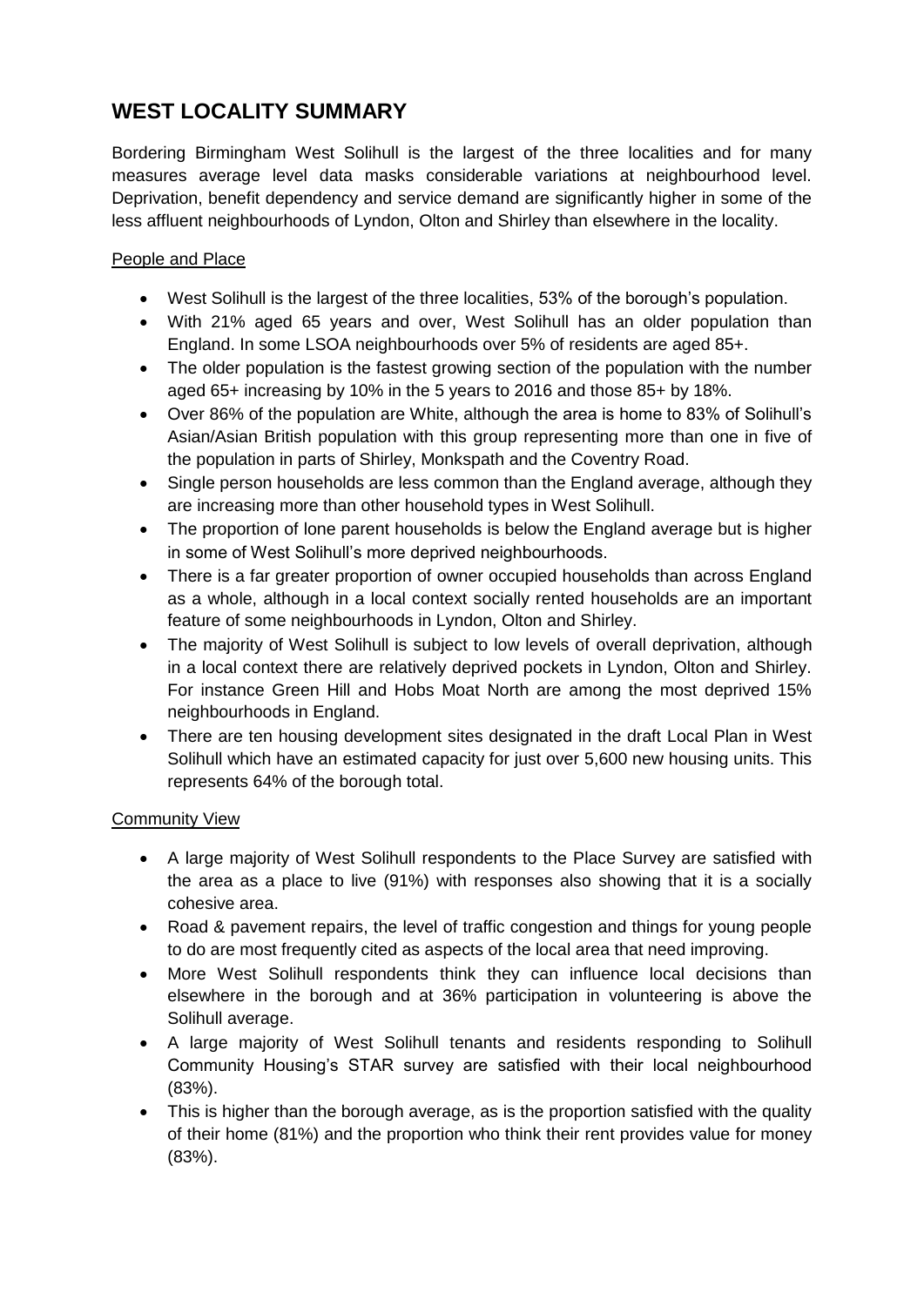# **WEST LOCALITY SUMMARY**

Bordering Birmingham West Solihull is the largest of the three localities and for many measures average level data masks considerable variations at neighbourhood level. Deprivation, benefit dependency and service demand are significantly higher in some of the less affluent neighbourhoods of Lyndon, Olton and Shirley than elsewhere in the locality.

## People and Place

- West Solihull is the largest of the three localities, 53% of the borough's population.
- With 21% aged 65 years and over, West Solihull has an older population than England. In some LSOA neighbourhoods over 5% of residents are aged 85+.
- The older population is the fastest growing section of the population with the number aged 65+ increasing by 10% in the 5 years to 2016 and those 85+ by 18%.
- Over 86% of the population are White, although the area is home to 83% of Solihull's Asian/Asian British population with this group representing more than one in five of the population in parts of Shirley, Monkspath and the Coventry Road.
- Single person households are less common than the England average, although they are increasing more than other household types in West Solihull.
- The proportion of lone parent households is below the England average but is higher in some of West Solihull's more deprived neighbourhoods.
- There is a far greater proportion of owner occupied households than across England as a whole, although in a local context socially rented households are an important feature of some neighbourhoods in Lyndon, Olton and Shirley.
- The majority of West Solihull is subject to low levels of overall deprivation, although in a local context there are relatively deprived pockets in Lyndon, Olton and Shirley. For instance Green Hill and Hobs Moat North are among the most deprived 15% neighbourhoods in England.
- There are ten housing development sites designated in the draft Local Plan in West Solihull which have an estimated capacity for just over 5,600 new housing units. This represents 64% of the borough total.

### **Community View**

- A large majority of West Solihull respondents to the Place Survey are satisfied with the area as a place to live (91%) with responses also showing that it is a socially cohesive area.
- Road & pavement repairs, the level of traffic congestion and things for young people to do are most frequently cited as aspects of the local area that need improving.
- More West Solihull respondents think they can influence local decisions than elsewhere in the borough and at 36% participation in volunteering is above the Solihull average.
- A large majority of West Solihull tenants and residents responding to Solihull Community Housing's STAR survey are satisfied with their local neighbourhood (83%).
- This is higher than the borough average, as is the proportion satisfied with the quality of their home (81%) and the proportion who think their rent provides value for money (83%).